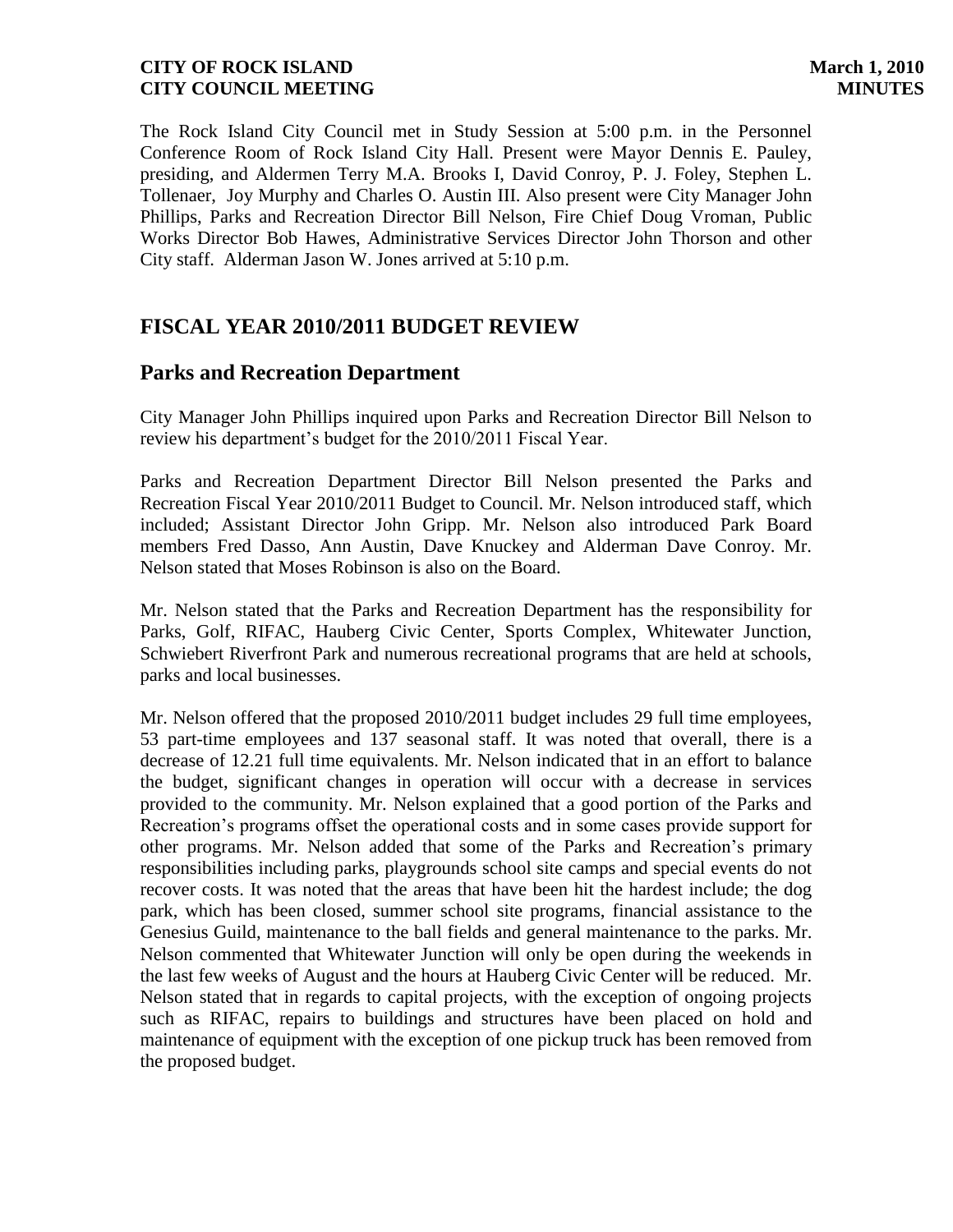The Rock Island City Council met in Study Session at 5:00 p.m. in the Personnel Conference Room of Rock Island City Hall. Present were Mayor Dennis E. Pauley, presiding, and Aldermen Terry M.A. Brooks I, David Conroy, P. J. Foley, Stephen L. Tollenaer, Joy Murphy and Charles O. Austin III. Also present were City Manager John Phillips, Parks and Recreation Director Bill Nelson, Fire Chief Doug Vroman, Public Works Director Bob Hawes, Administrative Services Director John Thorson and other City staff. Alderman Jason W. Jones arrived at 5:10 p.m.

# **FISCAL YEAR 2010/2011 BUDGET REVIEW**

# **Parks and Recreation Department**

City Manager John Phillips inquired upon Parks and Recreation Director Bill Nelson to review his department's budget for the 2010/2011 Fiscal Year.

Parks and Recreation Department Director Bill Nelson presented the Parks and Recreation Fiscal Year 2010/2011 Budget to Council. Mr. Nelson introduced staff, which included; Assistant Director John Gripp. Mr. Nelson also introduced Park Board members Fred Dasso, Ann Austin, Dave Knuckey and Alderman Dave Conroy. Mr. Nelson stated that Moses Robinson is also on the Board.

Mr. Nelson stated that the Parks and Recreation Department has the responsibility for Parks, Golf, RIFAC, Hauberg Civic Center, Sports Complex, Whitewater Junction, Schwiebert Riverfront Park and numerous recreational programs that are held at schools, parks and local businesses.

Mr. Nelson offered that the proposed 2010/2011 budget includes 29 full time employees, 53 part-time employees and 137 seasonal staff. It was noted that overall, there is a decrease of 12.21 full time equivalents. Mr. Nelson indicated that in an effort to balance the budget, significant changes in operation will occur with a decrease in services provided to the community. Mr. Nelson explained that a good portion of the Parks and Recreation's programs offset the operational costs and in some cases provide support for other programs. Mr. Nelson added that some of the Parks and Recreation's primary responsibilities including parks, playgrounds school site camps and special events do not recover costs. It was noted that the areas that have been hit the hardest include; the dog park, which has been closed, summer school site programs, financial assistance to the Genesius Guild, maintenance to the ball fields and general maintenance to the parks. Mr. Nelson commented that Whitewater Junction will only be open during the weekends in the last few weeks of August and the hours at Hauberg Civic Center will be reduced. Mr. Nelson stated that in regards to capital projects, with the exception of ongoing projects such as RIFAC, repairs to buildings and structures have been placed on hold and maintenance of equipment with the exception of one pickup truck has been removed from the proposed budget.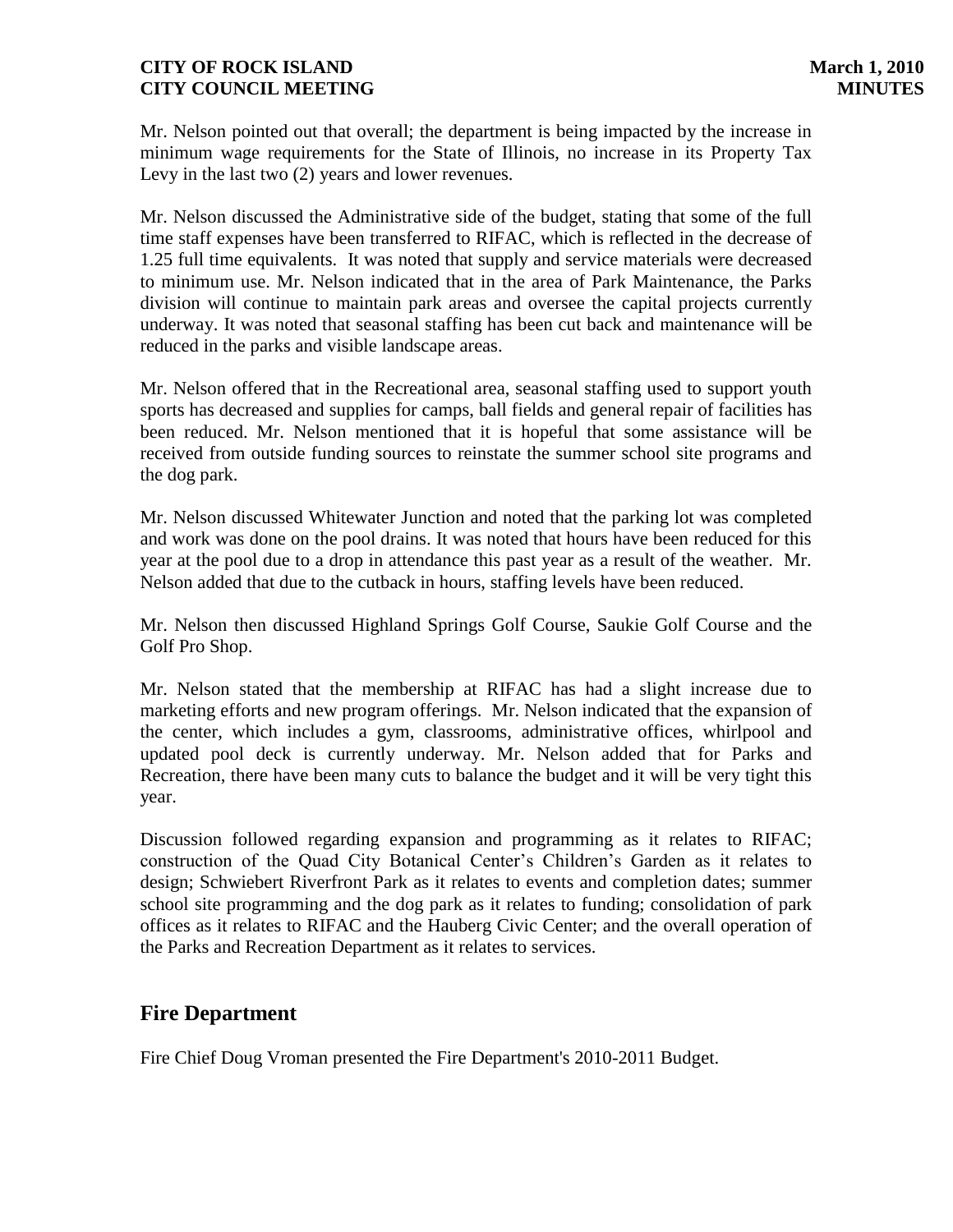Mr. Nelson pointed out that overall; the department is being impacted by the increase in minimum wage requirements for the State of Illinois, no increase in its Property Tax Levy in the last two (2) years and lower revenues.

Mr. Nelson discussed the Administrative side of the budget, stating that some of the full time staff expenses have been transferred to RIFAC, which is reflected in the decrease of 1.25 full time equivalents. It was noted that supply and service materials were decreased to minimum use. Mr. Nelson indicated that in the area of Park Maintenance, the Parks division will continue to maintain park areas and oversee the capital projects currently underway. It was noted that seasonal staffing has been cut back and maintenance will be reduced in the parks and visible landscape areas.

Mr. Nelson offered that in the Recreational area, seasonal staffing used to support youth sports has decreased and supplies for camps, ball fields and general repair of facilities has been reduced. Mr. Nelson mentioned that it is hopeful that some assistance will be received from outside funding sources to reinstate the summer school site programs and the dog park.

Mr. Nelson discussed Whitewater Junction and noted that the parking lot was completed and work was done on the pool drains. It was noted that hours have been reduced for this year at the pool due to a drop in attendance this past year as a result of the weather. Mr. Nelson added that due to the cutback in hours, staffing levels have been reduced.

Mr. Nelson then discussed Highland Springs Golf Course, Saukie Golf Course and the Golf Pro Shop.

Mr. Nelson stated that the membership at RIFAC has had a slight increase due to marketing efforts and new program offerings. Mr. Nelson indicated that the expansion of the center, which includes a gym, classrooms, administrative offices, whirlpool and updated pool deck is currently underway. Mr. Nelson added that for Parks and Recreation, there have been many cuts to balance the budget and it will be very tight this year.

Discussion followed regarding expansion and programming as it relates to RIFAC; construction of the Quad City Botanical Center's Children's Garden as it relates to design; Schwiebert Riverfront Park as it relates to events and completion dates; summer school site programming and the dog park as it relates to funding; consolidation of park offices as it relates to RIFAC and the Hauberg Civic Center; and the overall operation of the Parks and Recreation Department as it relates to services.

# **Fire Department**

Fire Chief Doug Vroman presented the Fire Department's 2010-2011 Budget.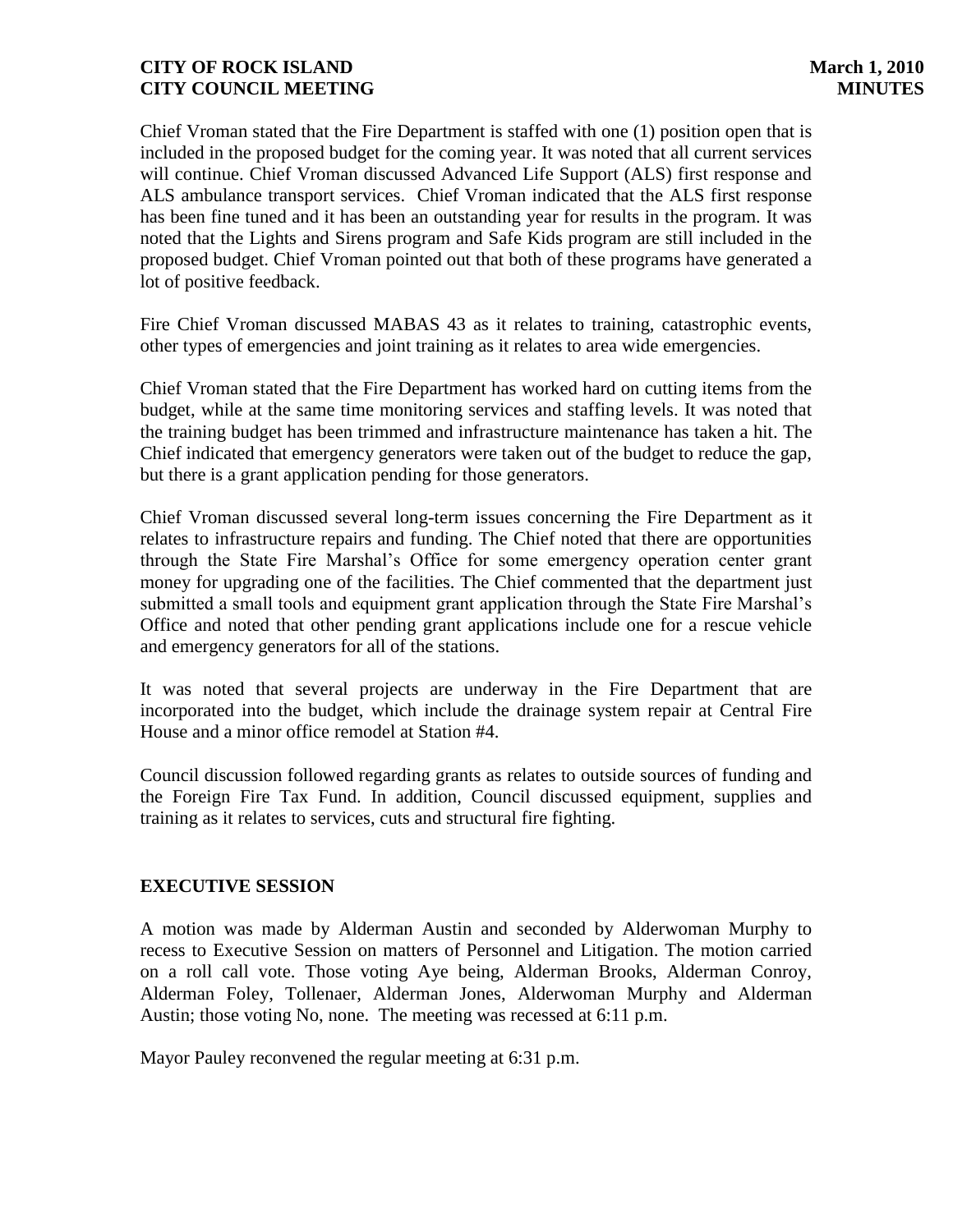Chief Vroman stated that the Fire Department is staffed with one (1) position open that is included in the proposed budget for the coming year. It was noted that all current services will continue. Chief Vroman discussed Advanced Life Support (ALS) first response and ALS ambulance transport services. Chief Vroman indicated that the ALS first response has been fine tuned and it has been an outstanding year for results in the program. It was noted that the Lights and Sirens program and Safe Kids program are still included in the proposed budget. Chief Vroman pointed out that both of these programs have generated a lot of positive feedback.

Fire Chief Vroman discussed MABAS 43 as it relates to training, catastrophic events, other types of emergencies and joint training as it relates to area wide emergencies.

Chief Vroman stated that the Fire Department has worked hard on cutting items from the budget, while at the same time monitoring services and staffing levels. It was noted that the training budget has been trimmed and infrastructure maintenance has taken a hit. The Chief indicated that emergency generators were taken out of the budget to reduce the gap, but there is a grant application pending for those generators.

Chief Vroman discussed several long-term issues concerning the Fire Department as it relates to infrastructure repairs and funding. The Chief noted that there are opportunities through the State Fire Marshal's Office for some emergency operation center grant money for upgrading one of the facilities. The Chief commented that the department just submitted a small tools and equipment grant application through the State Fire Marshal's Office and noted that other pending grant applications include one for a rescue vehicle and emergency generators for all of the stations.

It was noted that several projects are underway in the Fire Department that are incorporated into the budget, which include the drainage system repair at Central Fire House and a minor office remodel at Station #4.

Council discussion followed regarding grants as relates to outside sources of funding and the Foreign Fire Tax Fund. In addition, Council discussed equipment, supplies and training as it relates to services, cuts and structural fire fighting.

# **EXECUTIVE SESSION**

A motion was made by Alderman Austin and seconded by Alderwoman Murphy to recess to Executive Session on matters of Personnel and Litigation. The motion carried on a roll call vote. Those voting Aye being, Alderman Brooks, Alderman Conroy, Alderman Foley, Tollenaer, Alderman Jones, Alderwoman Murphy and Alderman Austin; those voting No, none. The meeting was recessed at 6:11 p.m.

Mayor Pauley reconvened the regular meeting at 6:31 p.m.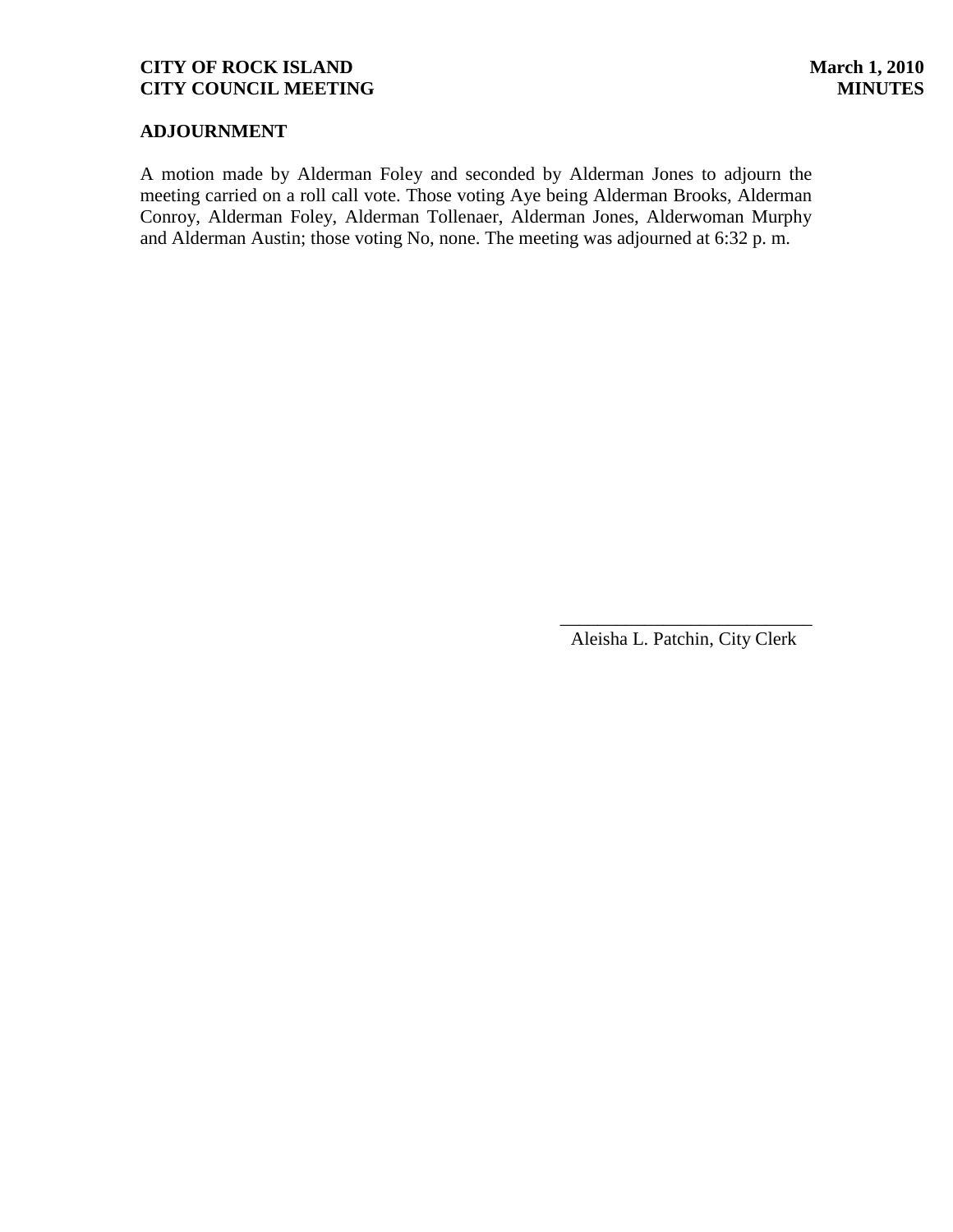# **ADJOURNMENT**

A motion made by Alderman Foley and seconded by Alderman Jones to adjourn the meeting carried on a roll call vote. Those voting Aye being Alderman Brooks, Alderman Conroy, Alderman Foley, Alderman Tollenaer, Alderman Jones, Alderwoman Murphy and Alderman Austin; those voting No, none. The meeting was adjourned at 6:32 p. m.

> \_\_\_\_\_\_\_\_\_\_\_\_\_\_\_\_\_\_\_\_\_\_\_\_\_\_\_ Aleisha L. Patchin, City Clerk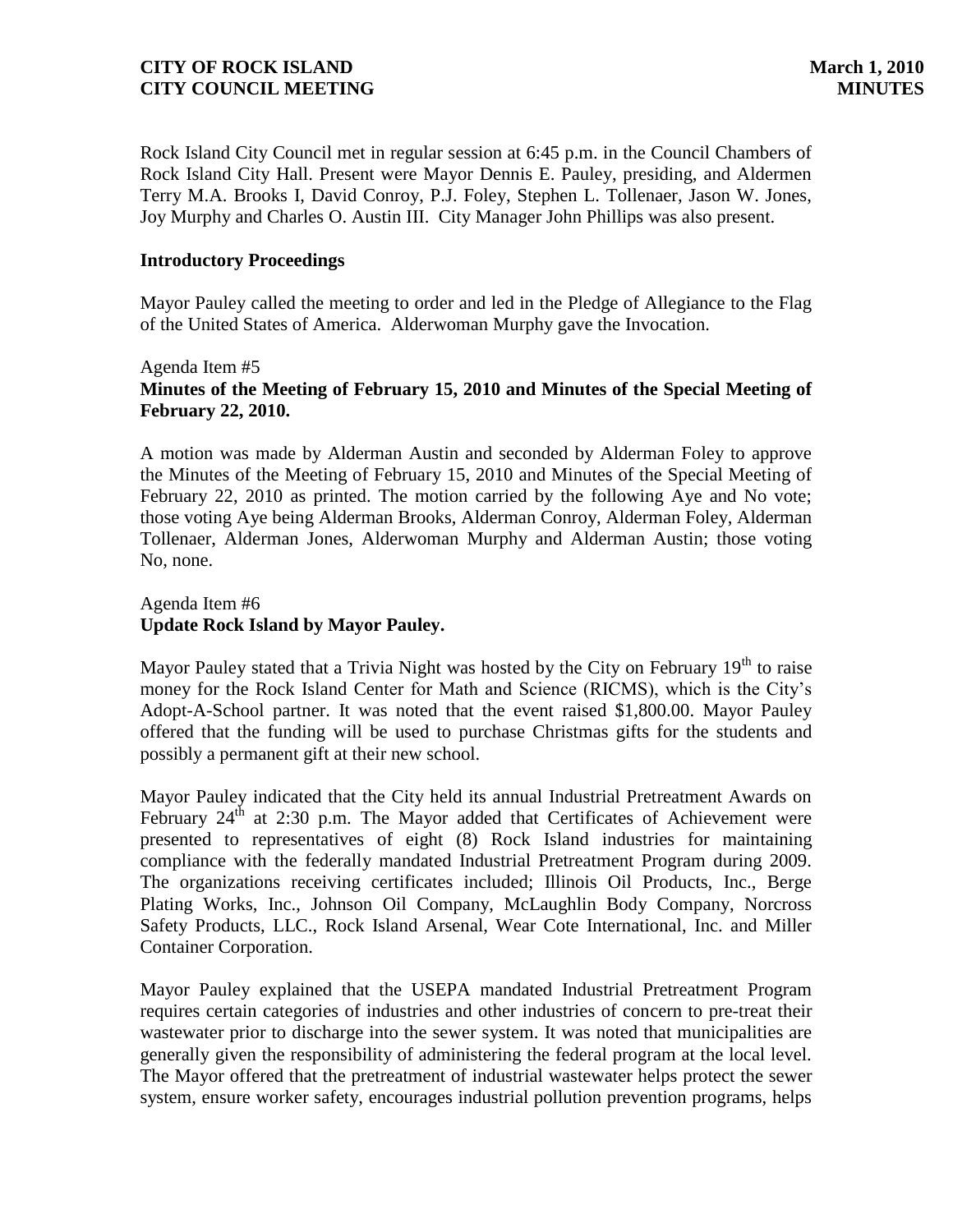Rock Island City Council met in regular session at 6:45 p.m. in the Council Chambers of Rock Island City Hall. Present were Mayor Dennis E. Pauley, presiding, and Aldermen Terry M.A. Brooks I, David Conroy, P.J. Foley, Stephen L. Tollenaer, Jason W. Jones, Joy Murphy and Charles O. Austin III. City Manager John Phillips was also present.

### **Introductory Proceedings**

Mayor Pauley called the meeting to order and led in the Pledge of Allegiance to the Flag of the United States of America. Alderwoman Murphy gave the Invocation.

### Agenda Item #5 **Minutes of the Meeting of February 15, 2010 and Minutes of the Special Meeting of February 22, 2010.**

A motion was made by Alderman Austin and seconded by Alderman Foley to approve the Minutes of the Meeting of February 15, 2010 and Minutes of the Special Meeting of February 22, 2010 as printed. The motion carried by the following Aye and No vote; those voting Aye being Alderman Brooks, Alderman Conroy, Alderman Foley, Alderman Tollenaer, Alderman Jones, Alderwoman Murphy and Alderman Austin; those voting No, none.

# Agenda Item #6 **Update Rock Island by Mayor Pauley.**

Mayor Pauley stated that a Trivia Night was hosted by the City on February  $19<sup>th</sup>$  to raise money for the Rock Island Center for Math and Science (RICMS), which is the City's Adopt-A-School partner. It was noted that the event raised \$1,800.00. Mayor Pauley offered that the funding will be used to purchase Christmas gifts for the students and possibly a permanent gift at their new school.

Mayor Pauley indicated that the City held its annual Industrial Pretreatment Awards on February  $24<sup>th</sup>$  at 2:30 p.m. The Mayor added that Certificates of Achievement were presented to representatives of eight (8) Rock Island industries for maintaining compliance with the federally mandated Industrial Pretreatment Program during 2009. The organizations receiving certificates included; Illinois Oil Products, Inc., Berge Plating Works, Inc., Johnson Oil Company, McLaughlin Body Company, Norcross Safety Products, LLC., Rock Island Arsenal, Wear Cote International, Inc. and Miller Container Corporation.

Mayor Pauley explained that the USEPA mandated Industrial Pretreatment Program requires certain categories of industries and other industries of concern to pre-treat their wastewater prior to discharge into the sewer system. It was noted that municipalities are generally given the responsibility of administering the federal program at the local level. The Mayor offered that the pretreatment of industrial wastewater helps protect the sewer system, ensure worker safety, encourages industrial pollution prevention programs, helps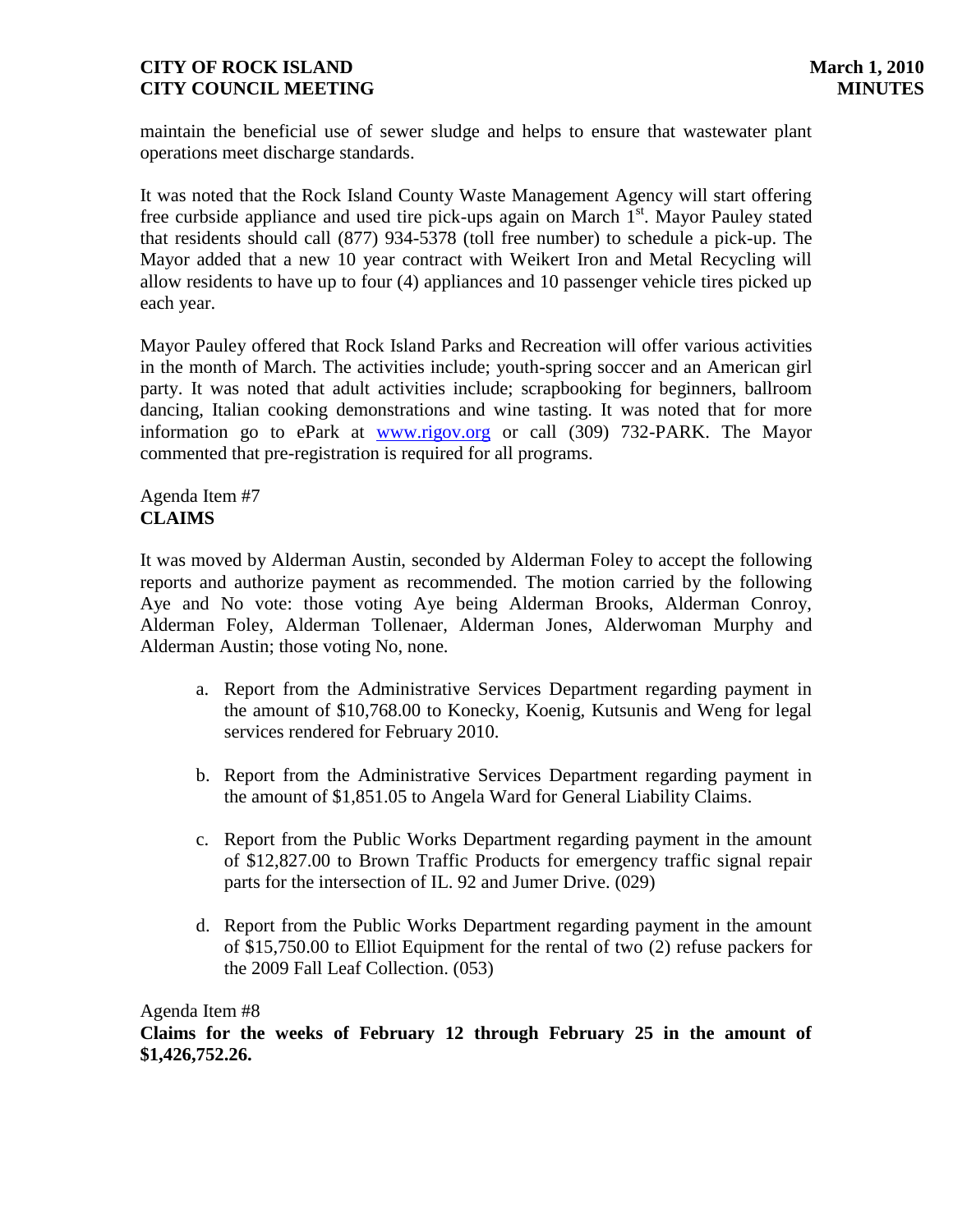maintain the beneficial use of sewer sludge and helps to ensure that wastewater plant operations meet discharge standards.

It was noted that the Rock Island County Waste Management Agency will start offering free curbside appliance and used tire pick-ups again on March  $1<sup>st</sup>$ . Mayor Pauley stated that residents should call (877) 934-5378 (toll free number) to schedule a pick-up. The Mayor added that a new 10 year contract with Weikert Iron and Metal Recycling will allow residents to have up to four (4) appliances and 10 passenger vehicle tires picked up each year.

Mayor Pauley offered that Rock Island Parks and Recreation will offer various activities in the month of March. The activities include; youth-spring soccer and an American girl party. It was noted that adult activities include; scrapbooking for beginners, ballroom dancing, Italian cooking demonstrations and wine tasting. It was noted that for more information go to ePark at [www.rigov.org](http://www.rigov.org/) or call (309) 732-PARK. The Mayor commented that pre-registration is required for all programs.

# Agenda Item #7 **CLAIMS**

It was moved by Alderman Austin, seconded by Alderman Foley to accept the following reports and authorize payment as recommended. The motion carried by the following Aye and No vote: those voting Aye being Alderman Brooks, Alderman Conroy, Alderman Foley, Alderman Tollenaer, Alderman Jones, Alderwoman Murphy and Alderman Austin; those voting No, none.

- a. Report from the Administrative Services Department regarding payment in the amount of \$10,768.00 to Konecky, Koenig, Kutsunis and Weng for legal services rendered for February 2010.
- b. Report from the Administrative Services Department regarding payment in the amount of \$1,851.05 to Angela Ward for General Liability Claims.
- c. Report from the Public Works Department regarding payment in the amount of \$12,827.00 to Brown Traffic Products for emergency traffic signal repair parts for the intersection of IL. 92 and Jumer Drive. (029)
- d. Report from the Public Works Department regarding payment in the amount of \$15,750.00 to Elliot Equipment for the rental of two (2) refuse packers for the 2009 Fall Leaf Collection. (053)

Agenda Item #8

**Claims for the weeks of February 12 through February 25 in the amount of \$1,426,752.26.**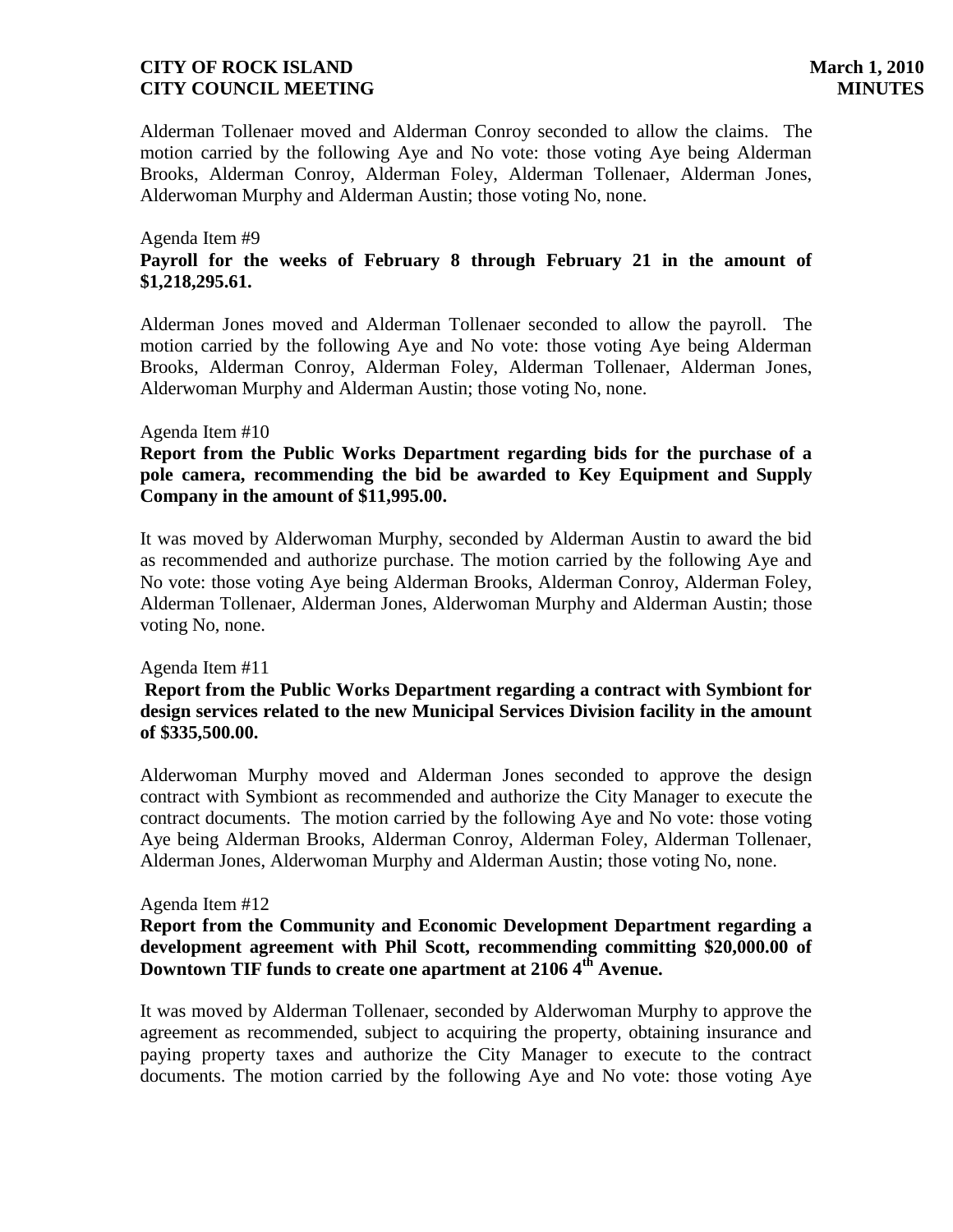Alderman Tollenaer moved and Alderman Conroy seconded to allow the claims. The motion carried by the following Aye and No vote: those voting Aye being Alderman Brooks, Alderman Conroy, Alderman Foley, Alderman Tollenaer, Alderman Jones, Alderwoman Murphy and Alderman Austin; those voting No, none.

### Agenda Item #9 **Payroll for the weeks of February 8 through February 21 in the amount of \$1,218,295.61.**

Alderman Jones moved and Alderman Tollenaer seconded to allow the payroll. The motion carried by the following Aye and No vote: those voting Aye being Alderman Brooks, Alderman Conroy, Alderman Foley, Alderman Tollenaer, Alderman Jones, Alderwoman Murphy and Alderman Austin; those voting No, none.

#### Agenda Item #10

# **Report from the Public Works Department regarding bids for the purchase of a pole camera, recommending the bid be awarded to Key Equipment and Supply Company in the amount of \$11,995.00.**

It was moved by Alderwoman Murphy, seconded by Alderman Austin to award the bid as recommended and authorize purchase. The motion carried by the following Aye and No vote: those voting Aye being Alderman Brooks, Alderman Conroy, Alderman Foley, Alderman Tollenaer, Alderman Jones, Alderwoman Murphy and Alderman Austin; those voting No, none.

#### Agenda Item #11

### **Report from the Public Works Department regarding a contract with Symbiont for design services related to the new Municipal Services Division facility in the amount of \$335,500.00.**

Alderwoman Murphy moved and Alderman Jones seconded to approve the design contract with Symbiont as recommended and authorize the City Manager to execute the contract documents. The motion carried by the following Aye and No vote: those voting Aye being Alderman Brooks, Alderman Conroy, Alderman Foley, Alderman Tollenaer, Alderman Jones, Alderwoman Murphy and Alderman Austin; those voting No, none.

### Agenda Item #12

### **Report from the Community and Economic Development Department regarding a development agreement with Phil Scott, recommending committing \$20,000.00 of Downtown TIF funds to create one apartment at 2106 4th Avenue.**

It was moved by Alderman Tollenaer, seconded by Alderwoman Murphy to approve the agreement as recommended, subject to acquiring the property, obtaining insurance and paying property taxes and authorize the City Manager to execute to the contract documents. The motion carried by the following Aye and No vote: those voting Aye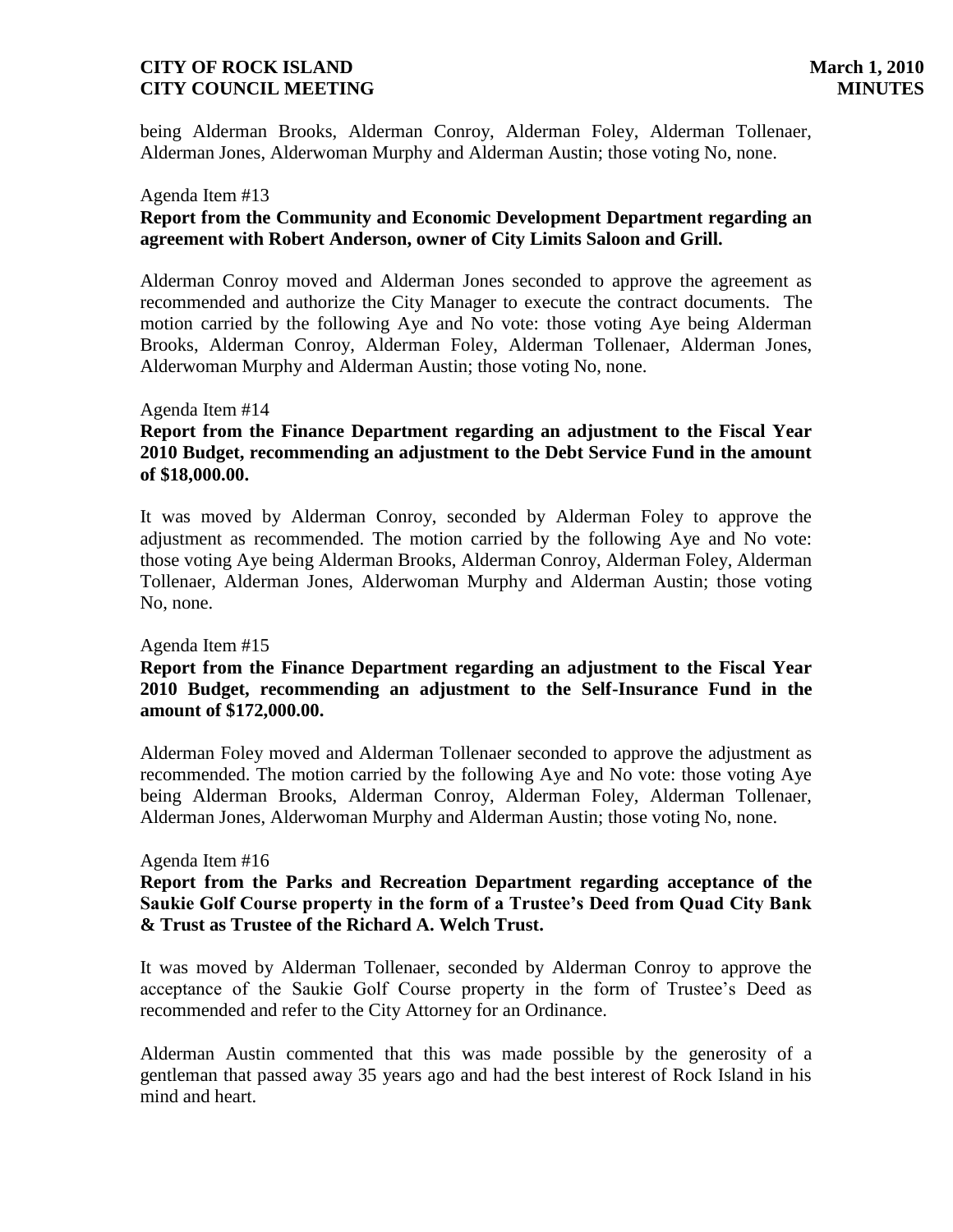being Alderman Brooks, Alderman Conroy, Alderman Foley, Alderman Tollenaer, Alderman Jones, Alderwoman Murphy and Alderman Austin; those voting No, none.

#### Agenda Item #13

# **Report from the Community and Economic Development Department regarding an agreement with Robert Anderson, owner of City Limits Saloon and Grill.**

Alderman Conroy moved and Alderman Jones seconded to approve the agreement as recommended and authorize the City Manager to execute the contract documents. The motion carried by the following Aye and No vote: those voting Aye being Alderman Brooks, Alderman Conroy, Alderman Foley, Alderman Tollenaer, Alderman Jones, Alderwoman Murphy and Alderman Austin; those voting No, none.

#### Agenda Item #14

# **Report from the Finance Department regarding an adjustment to the Fiscal Year 2010 Budget, recommending an adjustment to the Debt Service Fund in the amount of \$18,000.00.**

It was moved by Alderman Conroy, seconded by Alderman Foley to approve the adjustment as recommended. The motion carried by the following Aye and No vote: those voting Aye being Alderman Brooks, Alderman Conroy, Alderman Foley, Alderman Tollenaer, Alderman Jones, Alderwoman Murphy and Alderman Austin; those voting No, none.

#### Agenda Item #15

### **Report from the Finance Department regarding an adjustment to the Fiscal Year 2010 Budget, recommending an adjustment to the Self-Insurance Fund in the amount of \$172,000.00.**

Alderman Foley moved and Alderman Tollenaer seconded to approve the adjustment as recommended. The motion carried by the following Aye and No vote: those voting Aye being Alderman Brooks, Alderman Conroy, Alderman Foley, Alderman Tollenaer, Alderman Jones, Alderwoman Murphy and Alderman Austin; those voting No, none.

#### Agenda Item #16

### **Report from the Parks and Recreation Department regarding acceptance of the Saukie Golf Course property in the form of a Trustee's Deed from Quad City Bank & Trust as Trustee of the Richard A. Welch Trust.**

It was moved by Alderman Tollenaer, seconded by Alderman Conroy to approve the acceptance of the Saukie Golf Course property in the form of Trustee's Deed as recommended and refer to the City Attorney for an Ordinance.

Alderman Austin commented that this was made possible by the generosity of a gentleman that passed away 35 years ago and had the best interest of Rock Island in his mind and heart.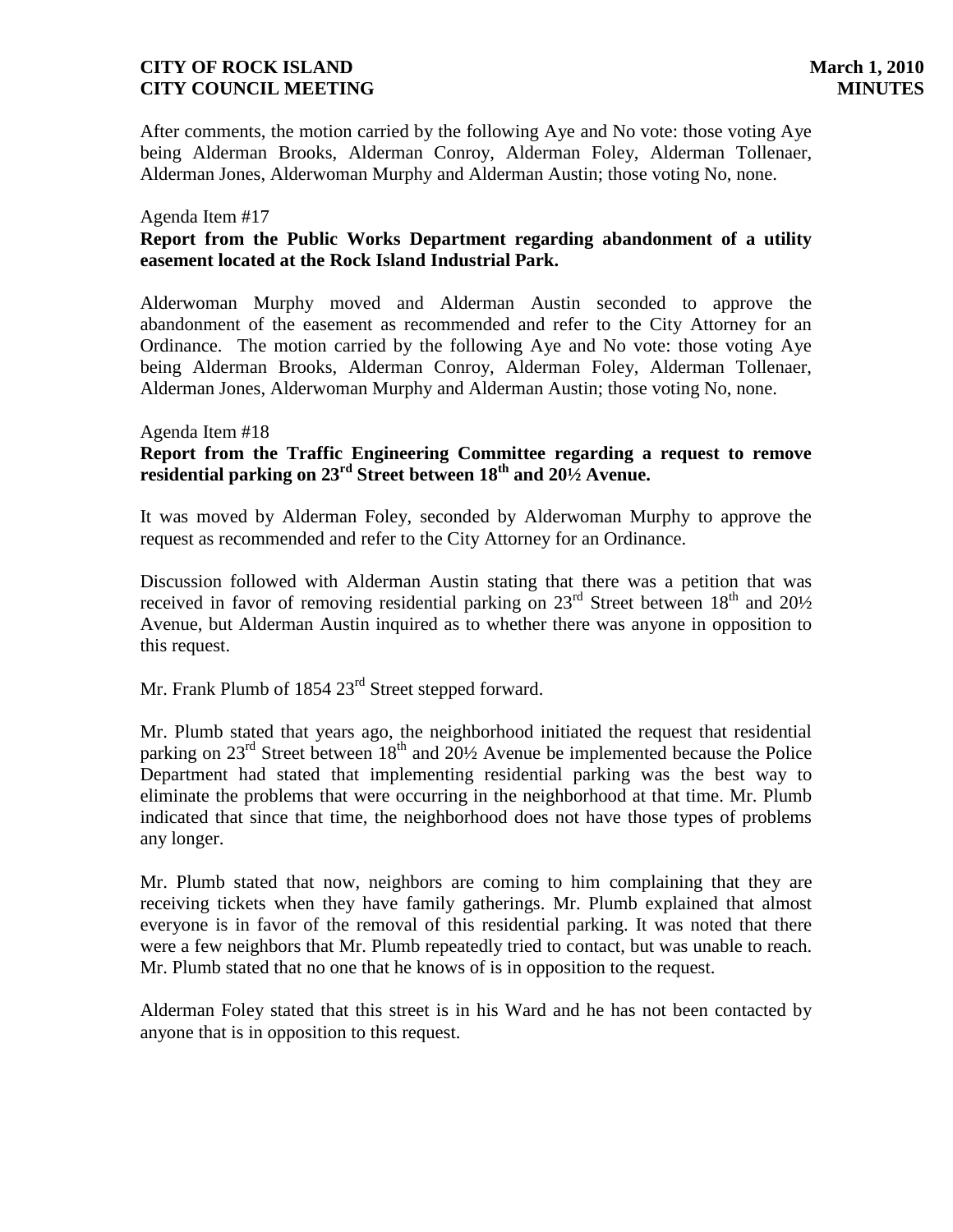After comments, the motion carried by the following Aye and No vote: those voting Aye being Alderman Brooks, Alderman Conroy, Alderman Foley, Alderman Tollenaer, Alderman Jones, Alderwoman Murphy and Alderman Austin; those voting No, none.

#### Agenda Item #17

### **Report from the Public Works Department regarding abandonment of a utility easement located at the Rock Island Industrial Park.**

Alderwoman Murphy moved and Alderman Austin seconded to approve the abandonment of the easement as recommended and refer to the City Attorney for an Ordinance. The motion carried by the following Aye and No vote: those voting Aye being Alderman Brooks, Alderman Conroy, Alderman Foley, Alderman Tollenaer, Alderman Jones, Alderwoman Murphy and Alderman Austin; those voting No, none.

#### Agenda Item #18

## **Report from the Traffic Engineering Committee regarding a request to remove residential parking on 23rd Street between 18th and 20½ Avenue.**

It was moved by Alderman Foley, seconded by Alderwoman Murphy to approve the request as recommended and refer to the City Attorney for an Ordinance.

Discussion followed with Alderman Austin stating that there was a petition that was received in favor of removing residential parking on  $23<sup>rd</sup>$  Street between  $18<sup>th</sup>$  and  $20<sup>1</sup>$ /<sub>2</sub> Avenue, but Alderman Austin inquired as to whether there was anyone in opposition to this request.

Mr. Frank Plumb of 1854 23<sup>rd</sup> Street stepped forward.

Mr. Plumb stated that years ago, the neighborhood initiated the request that residential parking on  $23^{\text{rd}}$  Street between  $18^{\text{th}}$  and  $20\frac{1}{2}$  Avenue be implemented because the Police Department had stated that implementing residential parking was the best way to eliminate the problems that were occurring in the neighborhood at that time. Mr. Plumb indicated that since that time, the neighborhood does not have those types of problems any longer.

Mr. Plumb stated that now, neighbors are coming to him complaining that they are receiving tickets when they have family gatherings. Mr. Plumb explained that almost everyone is in favor of the removal of this residential parking. It was noted that there were a few neighbors that Mr. Plumb repeatedly tried to contact, but was unable to reach. Mr. Plumb stated that no one that he knows of is in opposition to the request.

Alderman Foley stated that this street is in his Ward and he has not been contacted by anyone that is in opposition to this request.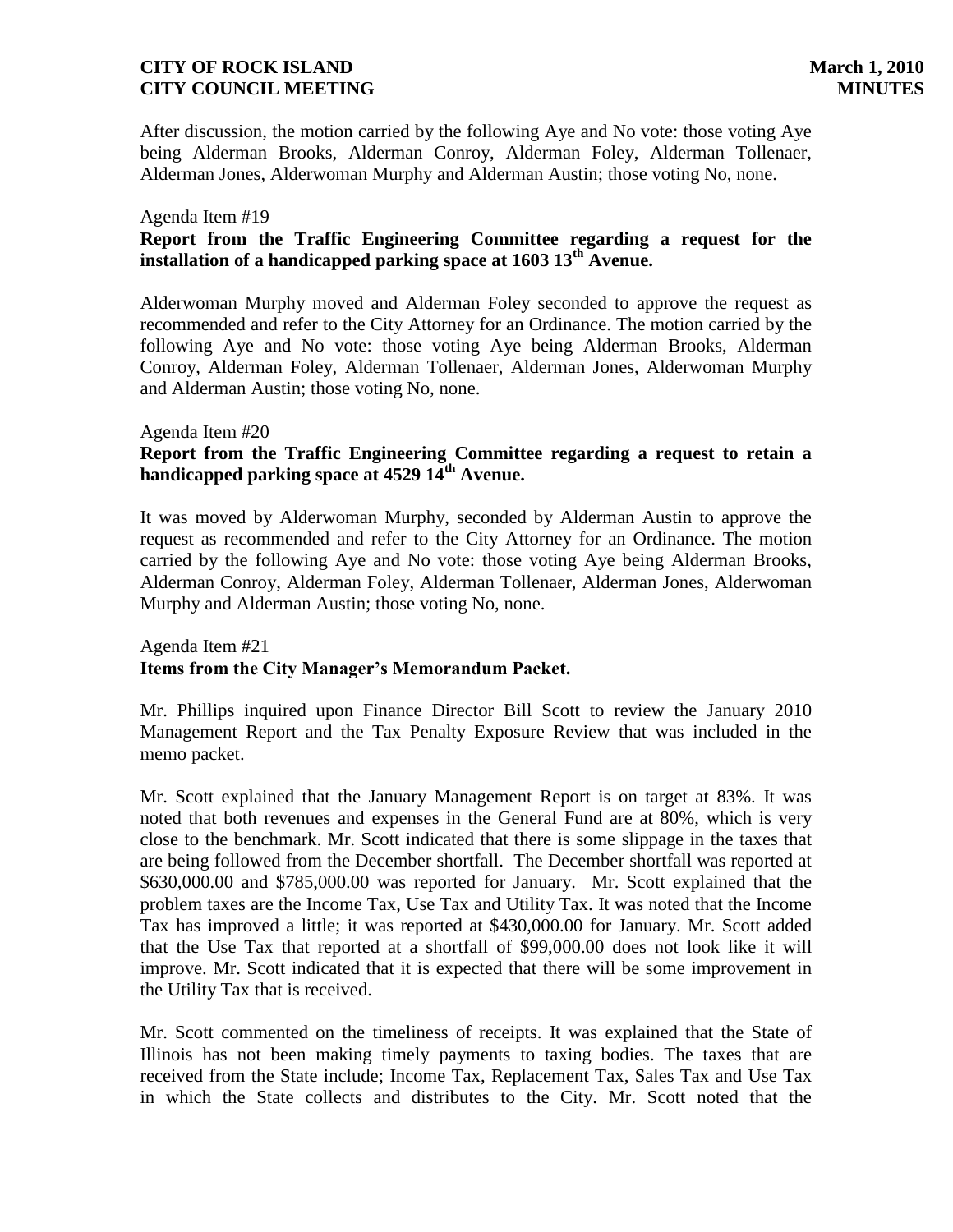After discussion, the motion carried by the following Aye and No vote: those voting Aye being Alderman Brooks, Alderman Conroy, Alderman Foley, Alderman Tollenaer, Alderman Jones, Alderwoman Murphy and Alderman Austin; those voting No, none.

#### Agenda Item #19

# **Report from the Traffic Engineering Committee regarding a request for the installation of a handicapped parking space at 1603 13th Avenue.**

Alderwoman Murphy moved and Alderman Foley seconded to approve the request as recommended and refer to the City Attorney for an Ordinance. The motion carried by the following Aye and No vote: those voting Aye being Alderman Brooks, Alderman Conroy, Alderman Foley, Alderman Tollenaer, Alderman Jones, Alderwoman Murphy and Alderman Austin; those voting No, none.

#### Agenda Item #20

# **Report from the Traffic Engineering Committee regarding a request to retain a handicapped parking space at 4529 14th Avenue.**

It was moved by Alderwoman Murphy, seconded by Alderman Austin to approve the request as recommended and refer to the City Attorney for an Ordinance. The motion carried by the following Aye and No vote: those voting Aye being Alderman Brooks, Alderman Conroy, Alderman Foley, Alderman Tollenaer, Alderman Jones, Alderwoman Murphy and Alderman Austin; those voting No, none.

### Agenda Item #21 **Items from the City Manager's Memorandum Packet.**

Mr. Phillips inquired upon Finance Director Bill Scott to review the January 2010 Management Report and the Tax Penalty Exposure Review that was included in the memo packet.

Mr. Scott explained that the January Management Report is on target at 83%. It was noted that both revenues and expenses in the General Fund are at 80%, which is very close to the benchmark. Mr. Scott indicated that there is some slippage in the taxes that are being followed from the December shortfall. The December shortfall was reported at \$630,000.00 and \$785,000.00 was reported for January. Mr. Scott explained that the problem taxes are the Income Tax, Use Tax and Utility Tax. It was noted that the Income Tax has improved a little; it was reported at \$430,000.00 for January. Mr. Scott added that the Use Tax that reported at a shortfall of \$99,000.00 does not look like it will improve. Mr. Scott indicated that it is expected that there will be some improvement in the Utility Tax that is received.

Mr. Scott commented on the timeliness of receipts. It was explained that the State of Illinois has not been making timely payments to taxing bodies. The taxes that are received from the State include; Income Tax, Replacement Tax, Sales Tax and Use Tax in which the State collects and distributes to the City. Mr. Scott noted that the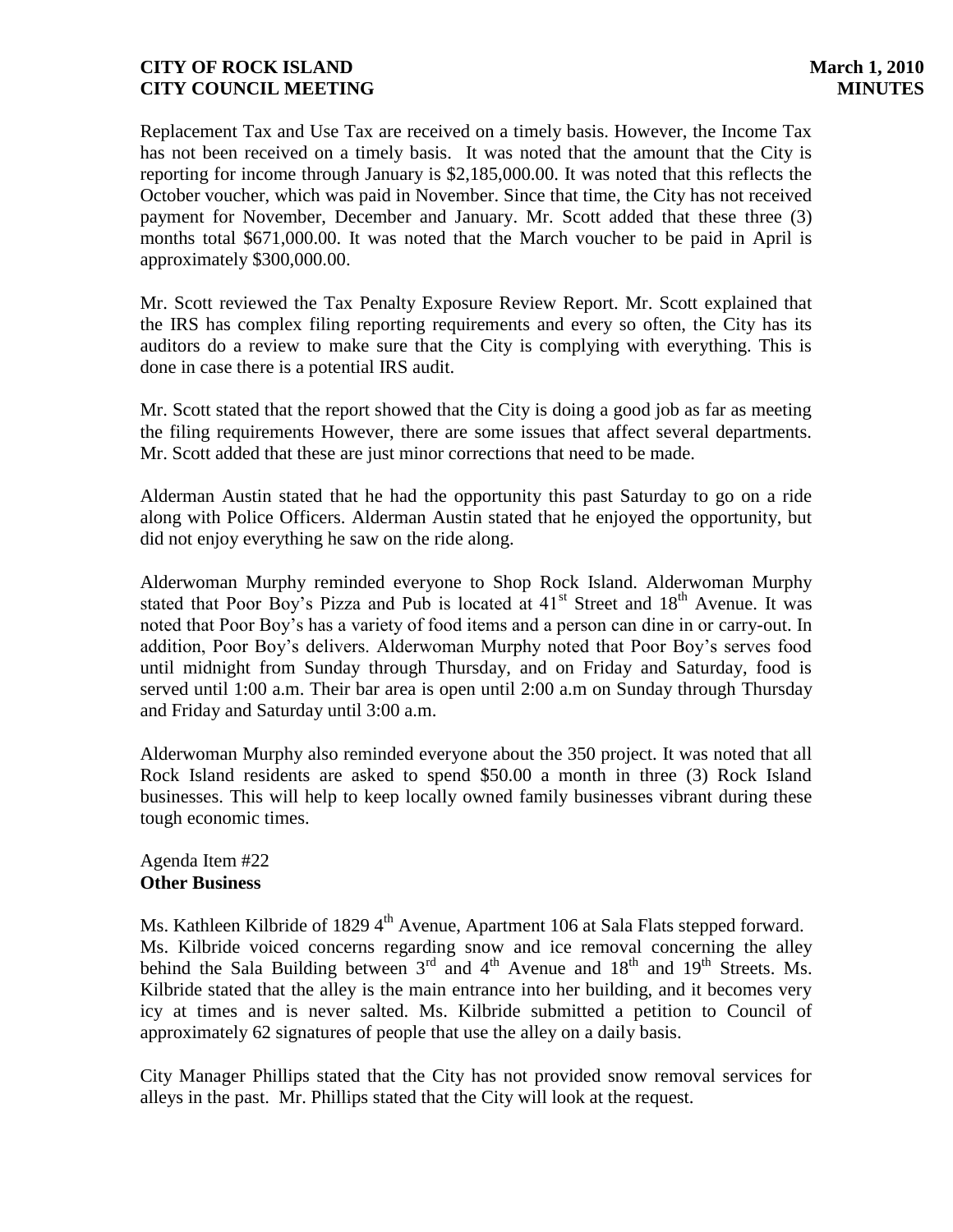Replacement Tax and Use Tax are received on a timely basis. However, the Income Tax has not been received on a timely basis. It was noted that the amount that the City is reporting for income through January is \$2,185,000.00. It was noted that this reflects the October voucher, which was paid in November. Since that time, the City has not received payment for November, December and January. Mr. Scott added that these three (3) months total \$671,000.00. It was noted that the March voucher to be paid in April is approximately \$300,000.00.

Mr. Scott reviewed the Tax Penalty Exposure Review Report. Mr. Scott explained that the IRS has complex filing reporting requirements and every so often, the City has its auditors do a review to make sure that the City is complying with everything. This is done in case there is a potential IRS audit.

Mr. Scott stated that the report showed that the City is doing a good job as far as meeting the filing requirements However, there are some issues that affect several departments. Mr. Scott added that these are just minor corrections that need to be made.

Alderman Austin stated that he had the opportunity this past Saturday to go on a ride along with Police Officers. Alderman Austin stated that he enjoyed the opportunity, but did not enjoy everything he saw on the ride along.

Alderwoman Murphy reminded everyone to Shop Rock Island. Alderwoman Murphy stated that Poor Boy's Pizza and Pub is located at  $41<sup>st</sup>$  Street and  $18<sup>th</sup>$  Avenue. It was noted that Poor Boy's has a variety of food items and a person can dine in or carry-out. In addition, Poor Boy's delivers. Alderwoman Murphy noted that Poor Boy's serves food until midnight from Sunday through Thursday, and on Friday and Saturday, food is served until 1:00 a.m. Their bar area is open until 2:00 a.m on Sunday through Thursday and Friday and Saturday until 3:00 a.m.

Alderwoman Murphy also reminded everyone about the 350 project. It was noted that all Rock Island residents are asked to spend \$50.00 a month in three (3) Rock Island businesses. This will help to keep locally owned family businesses vibrant during these tough economic times.

## Agenda Item #22 **Other Business**

Ms. Kathleen Kilbride of 1829 4<sup>th</sup> Avenue, Apartment 106 at Sala Flats stepped forward. Ms. Kilbride voiced concerns regarding snow and ice removal concerning the alley behind the Sala Building between  $3<sup>rd</sup>$  and  $4<sup>th</sup>$  Avenue and  $18<sup>th</sup>$  and  $19<sup>th</sup>$  Streets. Ms. Kilbride stated that the alley is the main entrance into her building, and it becomes very icy at times and is never salted. Ms. Kilbride submitted a petition to Council of approximately 62 signatures of people that use the alley on a daily basis.

City Manager Phillips stated that the City has not provided snow removal services for alleys in the past. Mr. Phillips stated that the City will look at the request.